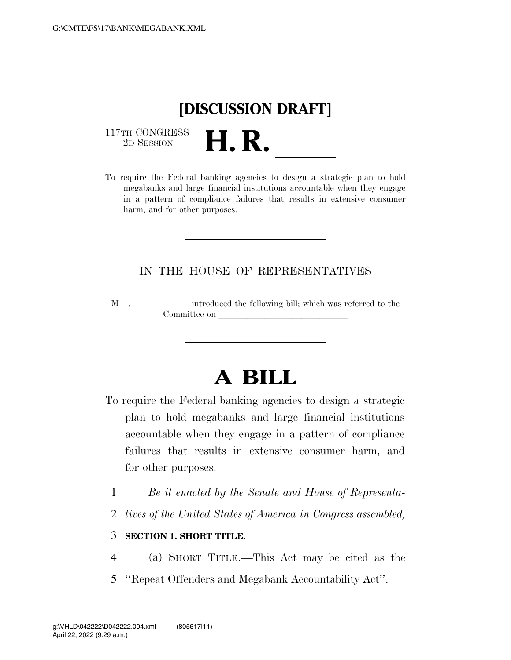# **[DISCUSSION DRAFT]**

 $\begin{array}{c} \text{117TH CONGRESS} \\ \text{2D Session} \end{array}$ 

117TH CONGRESS<br>
2D SESSION<br>
To require the Federal banking agencies to design a strategic plan to hold megabanks and large financial institutions accountable when they engage in a pattern of compliance failures that results in extensive consumer harm, and for other purposes.

### IN THE HOUSE OF REPRESENTATIVES

M<sub>\_\_\_</sub>. \_\_\_\_\_\_\_\_\_\_\_\_\_ introduced the following bill; which was referred to the  ${\bf Committee \ on \ \_\_}$ 

# **A BILL**

- To require the Federal banking agencies to design a strategic plan to hold megabanks and large financial institutions accountable when they engage in a pattern of compliance failures that results in extensive consumer harm, and for other purposes.
	- 1 *Be it enacted by the Senate and House of Representa-*
	- 2 *tives of the United States of America in Congress assembled,*

#### 3 **SECTION 1. SHORT TITLE.**

- 4 (a) SHORT TITLE.—This Act may be cited as the
- 5 ''Repeat Offenders and Megabank Accountability Act''.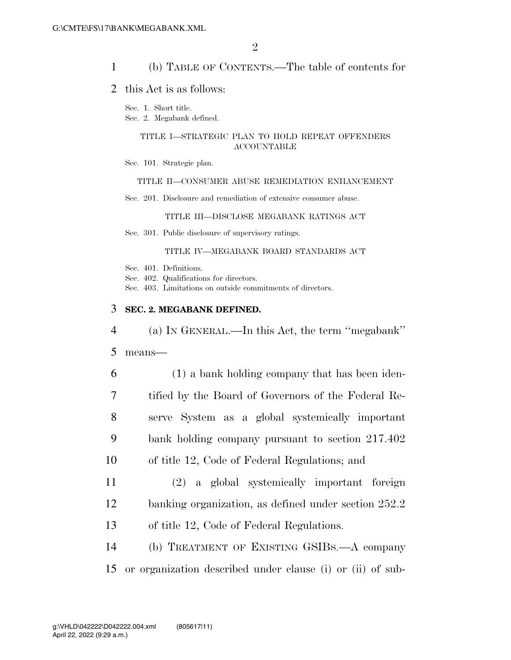#### 1 (b) TABLE OF CONTENTS.—The table of contents for

#### 2 this Act is as follows:

Sec. 1. Short title.

Sec. 2. Megabank defined.

#### TITLE I—STRATEGIC PLAN TO HOLD REPEAT OFFENDERS ACCOUNTABLE

Sec. 101. Strategic plan.

#### TITLE II—CONSUMER ABUSE REMEDIATION ENHANCEMENT

Sec. 201. Disclosure and remediation of extensive consumer abuse.

TITLE III—DISCLOSE MEGABANK RATINGS ACT

Sec. 301. Public disclosure of supervisory ratings.

#### TITLE IV—MEGABANK BOARD STANDARDS ACT

Sec. 401. Definitions.

Sec. 402. Qualifications for directors.

Sec. 403. Limitations on outside commitments of directors.

#### 3 **SEC. 2. MEGABANK DEFINED.**

 (a) IN GENERAL.—In this Act, the term ''megabank'' 5 means— (1) a bank holding company that has been iden- tified by the Board of Governors of the Federal Re- serve System as a global systemically important bank holding company pursuant to section 217.402 of title 12, Code of Federal Regulations; and (2) a global systemically important foreign banking organization, as defined under section 252.2

13 of title 12, Code of Federal Regulations.

14 (b) TREATMENT OF EXISTING GSIBS.—A company 15 or organization described under clause (i) or (ii) of sub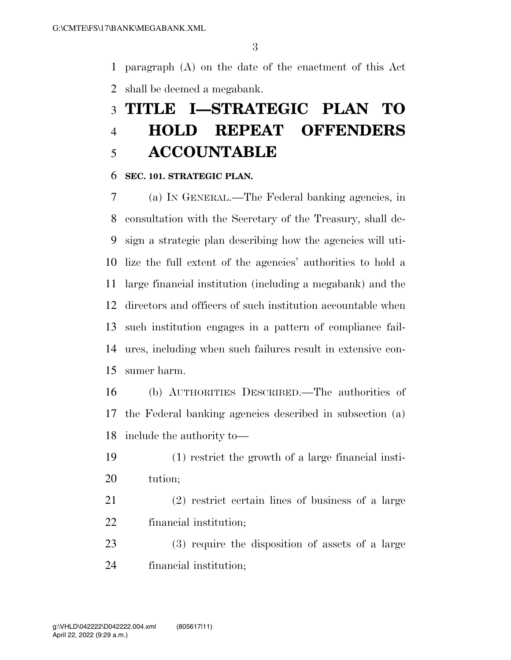paragraph (A) on the date of the enactment of this Act shall be deemed a megabank.

## **TITLE I—STRATEGIC PLAN TO HOLD REPEAT OFFENDERS ACCOUNTABLE**

#### **SEC. 101. STRATEGIC PLAN.**

 (a) IN GENERAL.—The Federal banking agencies, in consultation with the Secretary of the Treasury, shall de- sign a strategic plan describing how the agencies will uti- lize the full extent of the agencies' authorities to hold a large financial institution (including a megabank) and the directors and officers of such institution accountable when such institution engages in a pattern of compliance fail- ures, including when such failures result in extensive con-sumer harm.

 (b) AUTHORITIES DESCRIBED.—The authorities of the Federal banking agencies described in subsection (a) include the authority to—

- (1) restrict the growth of a large financial insti-tution;
- (2) restrict certain lines of business of a large financial institution;
- (3) require the disposition of assets of a large financial institution;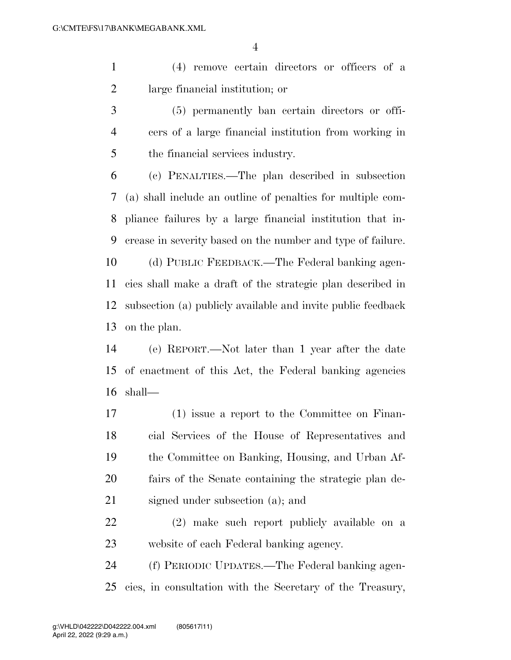(4) remove certain directors or officers of a large financial institution; or

 (5) permanently ban certain directors or offi- cers of a large financial institution from working in the financial services industry.

 (c) PENALTIES.—The plan described in subsection (a) shall include an outline of penalties for multiple com- pliance failures by a large financial institution that in- crease in severity based on the number and type of failure. (d) PUBLIC FEEDBACK.—The Federal banking agen- cies shall make a draft of the strategic plan described in subsection (a) publicly available and invite public feedback on the plan.

 (e) REPORT.—Not later than 1 year after the date of enactment of this Act, the Federal banking agencies shall—

- (1) issue a report to the Committee on Finan- cial Services of the House of Representatives and the Committee on Banking, Housing, and Urban Af- fairs of the Senate containing the strategic plan de-signed under subsection (a); and
- (2) make such report publicly available on a website of each Federal banking agency.

 (f) PERIODIC UPDATES.—The Federal banking agen-cies, in consultation with the Secretary of the Treasury,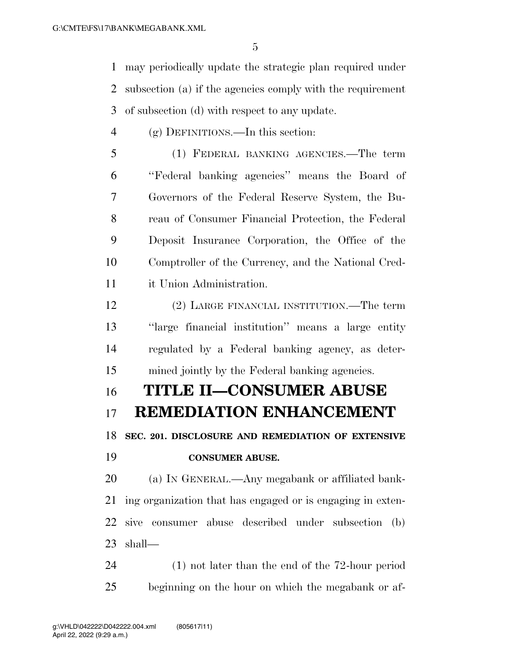may periodically update the strategic plan required under subsection (a) if the agencies comply with the requirement of subsection (d) with respect to any update.

- (g) DEFINITIONS.—In this section:
- (1) FEDERAL BANKING AGENCIES.—The term ''Federal banking agencies'' means the Board of Governors of the Federal Reserve System, the Bu- reau of Consumer Financial Protection, the Federal Deposit Insurance Corporation, the Office of the Comptroller of the Currency, and the National Cred-it Union Administration.
- (2) LARGE FINANCIAL INSTITUTION.—The term ''large financial institution'' means a large entity regulated by a Federal banking agency, as deter-mined jointly by the Federal banking agencies.

## **TITLE II—CONSUMER ABUSE**

### **REMEDIATION ENHANCEMENT**

 **SEC. 201. DISCLOSURE AND REMEDIATION OF EXTENSIVE CONSUMER ABUSE.** 

 (a) IN GENERAL.—Any megabank or affiliated bank- ing organization that has engaged or is engaging in exten- sive consumer abuse described under subsection (b) shall—

 (1) not later than the end of the 72-hour period beginning on the hour on which the megabank or af-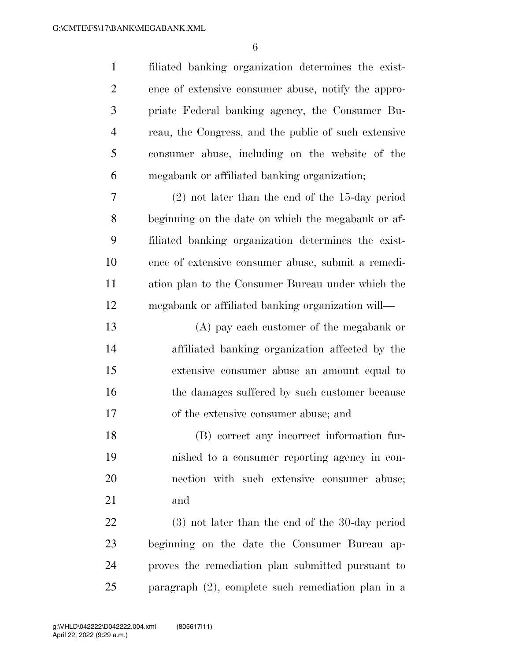filiated banking organization determines the exist- ence of extensive consumer abuse, notify the appro- priate Federal banking agency, the Consumer Bu- reau, the Congress, and the public of such extensive consumer abuse, including on the website of the megabank or affiliated banking organization; (2) not later than the end of the 15-day period beginning on the date on which the megabank or af- filiated banking organization determines the exist- ence of extensive consumer abuse, submit a remedi- ation plan to the Consumer Bureau under which the megabank or affiliated banking organization will— (A) pay each customer of the megabank or affiliated banking organization affected by the extensive consumer abuse an amount equal to 16 the damages suffered by such customer because of the extensive consumer abuse; and (B) correct any incorrect information fur- nished to a consumer reporting agency in con- nection with such extensive consumer abuse; and (3) not later than the end of the 30-day period beginning on the date the Consumer Bureau ap- proves the remediation plan submitted pursuant to paragraph (2), complete such remediation plan in a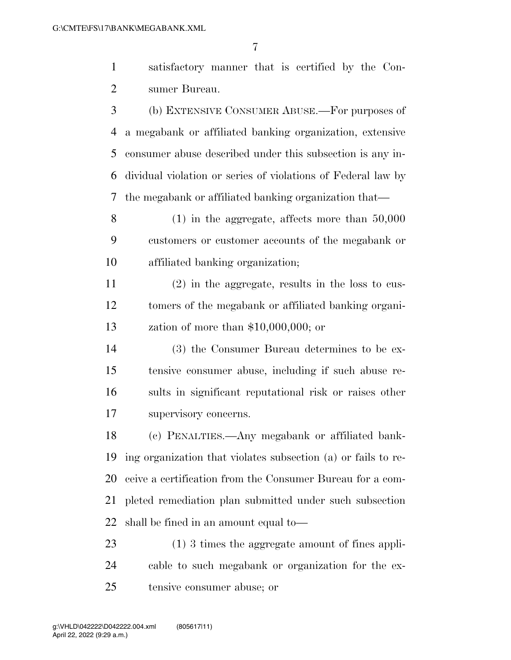satisfactory manner that is certified by the Con-sumer Bureau.

 (b) EXTENSIVE CONSUMER ABUSE.—For purposes of a megabank or affiliated banking organization, extensive consumer abuse described under this subsection is any in- dividual violation or series of violations of Federal law by the megabank or affiliated banking organization that—

 (1) in the aggregate, affects more than 50,000 customers or customer accounts of the megabank or affiliated banking organization;

 (2) in the aggregate, results in the loss to cus- tomers of the megabank or affiliated banking organi-zation of more than \$10,000,000; or

 (3) the Consumer Bureau determines to be ex- tensive consumer abuse, including if such abuse re- sults in significant reputational risk or raises other supervisory concerns.

 (c) PENALTIES.—Any megabank or affiliated bank- ing organization that violates subsection (a) or fails to re- ceive a certification from the Consumer Bureau for a com- pleted remediation plan submitted under such subsection shall be fined in an amount equal to—

 (1) 3 times the aggregate amount of fines appli- cable to such megabank or organization for the ex-tensive consumer abuse; or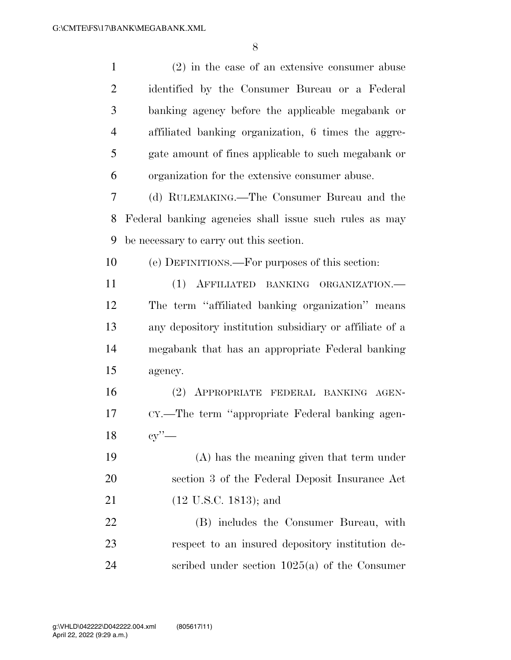| $\mathbf{1}$   | $(2)$ in the case of an extensive consumer abuse        |
|----------------|---------------------------------------------------------|
| $\overline{2}$ | identified by the Consumer Bureau or a Federal          |
| 3              | banking agency before the applicable megabank or        |
| $\overline{4}$ | affiliated banking organization, 6 times the aggre-     |
| 5              | gate amount of fines applicable to such megabank or     |
| 6              | organization for the extensive consumer abuse.          |
| 7              | (d) RULEMAKING.—The Consumer Bureau and the             |
| 8              | Federal banking agencies shall issue such rules as may  |
| 9              | be necessary to carry out this section.                 |
| 10             | (e) DEFINITIONS.—For purposes of this section:          |
| 11             | (1) AFFILIATED BANKING ORGANIZATION.                    |
| 12             | The term "affiliated banking organization" means        |
| 13             | any depository institution subsidiary or affiliate of a |
| 14             | megabank that has an appropriate Federal banking        |
| 15             | agency.                                                 |
| 16             | (2) APPROPRIATE FEDERAL BANKING AGEN-                   |
| 17             | CY.—The term "appropriate Federal banking agen-         |
| 18             | cy'                                                     |
| 19             | $(A)$ has the meaning given that term under             |
| 20             | section 3 of the Federal Deposit Insurance Act          |
| 21             | $(12 \text{ U.S.C. } 1813)$ ; and                       |
| 22             | (B) includes the Consumer Bureau, with                  |
| 23             | respect to an insured depository institution de-        |
| 24             | scribed under section $1025(a)$ of the Consumer         |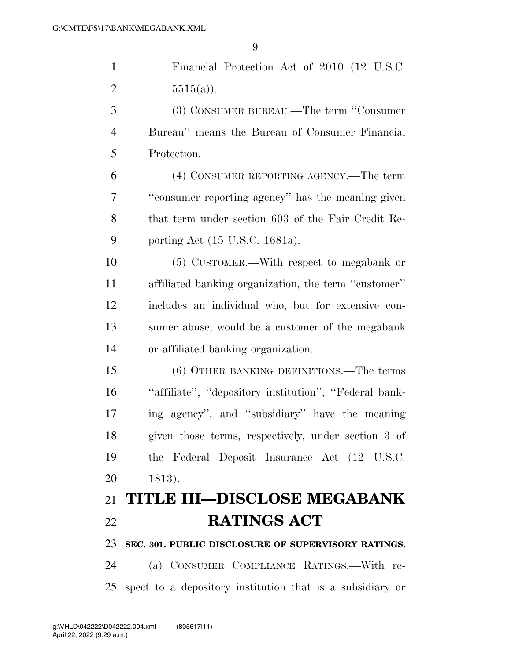| $\mathbf{1}$   | Financial Protection Act of 2010 (12 U.S.C.               |
|----------------|-----------------------------------------------------------|
| $\overline{2}$ | $5515(a)$ .                                               |
| 3              | (3) CONSUMER BUREAU.—The term "Consumer"                  |
| $\overline{4}$ | Bureau" means the Bureau of Consumer Financial            |
| 5              | Protection.                                               |
| 6              | (4) CONSUMER REPORTING AGENCY.—The term                   |
| 7              | "consumer reporting agency" has the meaning given         |
| 8              | that term under section 603 of the Fair Credit Re-        |
| 9              | porting Act (15 U.S.C. 1681a).                            |
| 10             | (5) CUSTOMER.—With respect to megabank or                 |
| 11             | affiliated banking organization, the term "customer"      |
| 12             | includes an individual who, but for extensive con-        |
| 13             | sumer abuse, would be a customer of the megabank          |
| 14             | or affiliated banking organization.                       |
| 15             | (6) OTHER BANKING DEFINITIONS.—The terms                  |
| 16             | "affiliate", "depository institution", "Federal bank-     |
| 17             | ing agency", and "subsidiary" have the meaning            |
| 18             | given those terms, respectively, under section 3 of       |
| 19             | the Federal Deposit Insurance Act (12 U.S.C.              |
| 20             | 1813).                                                    |
| 21             | <b>TITLE III-DISCLOSE MEGABANK</b>                        |
| 22             | <b>RATINGS ACT</b>                                        |
| 23             | SEC. 301. PUBLIC DISCLOSURE OF SUPERVISORY RATINGS.       |
| 24             | (a) CONSUMER COMPLIANCE RATINGS.—With re-                 |
| 25             | spect to a depository institution that is a subsidiary or |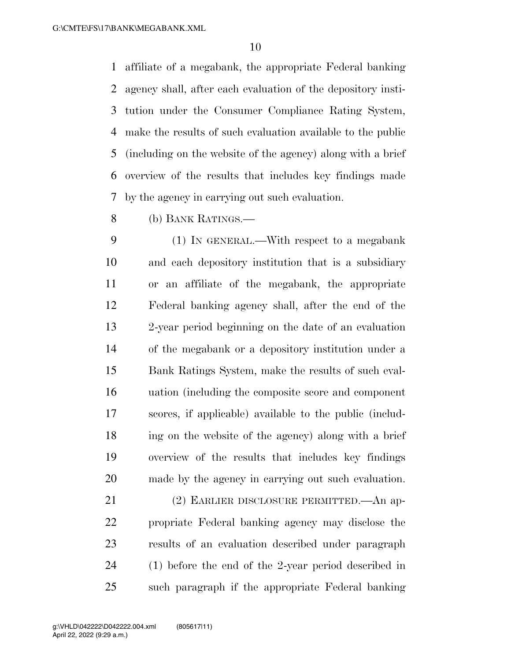affiliate of a megabank, the appropriate Federal banking agency shall, after each evaluation of the depository insti- tution under the Consumer Compliance Rating System, make the results of such evaluation available to the public (including on the website of the agency) along with a brief overview of the results that includes key findings made by the agency in carrying out such evaluation.

(b) BANK RATINGS.—

 (1) IN GENERAL.—With respect to a megabank and each depository institution that is a subsidiary or an affiliate of the megabank, the appropriate Federal banking agency shall, after the end of the 2-year period beginning on the date of an evaluation of the megabank or a depository institution under a Bank Ratings System, make the results of such eval- uation (including the composite score and component scores, if applicable) available to the public (includ- ing on the website of the agency) along with a brief overview of the results that includes key findings made by the agency in carrying out such evaluation.

 (2) EARLIER DISCLOSURE PERMITTED.—An ap- propriate Federal banking agency may disclose the results of an evaluation described under paragraph (1) before the end of the 2-year period described in such paragraph if the appropriate Federal banking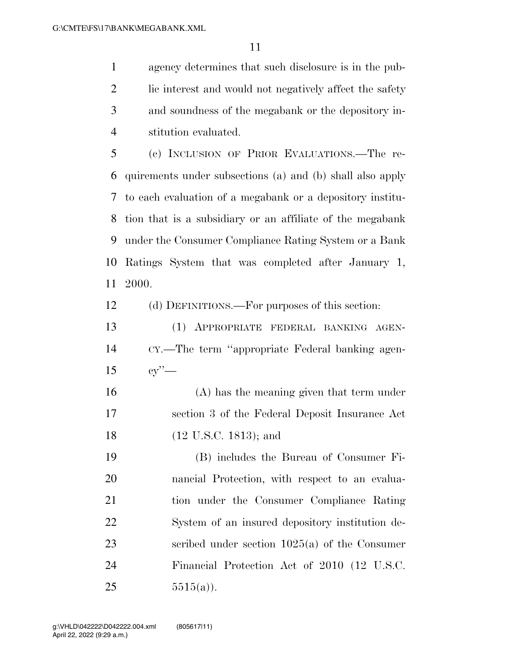agency determines that such disclosure is in the pub-2 lic interest and would not negatively affect the safety and soundness of the megabank or the depository in-stitution evaluated.

 (c) INCLUSION OF PRIOR EVALUATIONS.—The re- quirements under subsections (a) and (b) shall also apply to each evaluation of a megabank or a depository institu- tion that is a subsidiary or an affiliate of the megabank under the Consumer Compliance Rating System or a Bank Ratings System that was completed after January 1, 2000.

(d) DEFINITIONS.—For purposes of this section:

 (1) APPROPRIATE FEDERAL BANKING AGEN- CY.—The term ''appropriate Federal banking agen-cy''—

 (A) has the meaning given that term under section 3 of the Federal Deposit Insurance Act 18 (12 U.S.C. 1813); and

 (B) includes the Bureau of Consumer Fi- nancial Protection, with respect to an evalua- tion under the Consumer Compliance Rating System of an insured depository institution de- scribed under section 1025(a) of the Consumer Financial Protection Act of 2010 (12 U.S.C. 25  $5515(a)$ .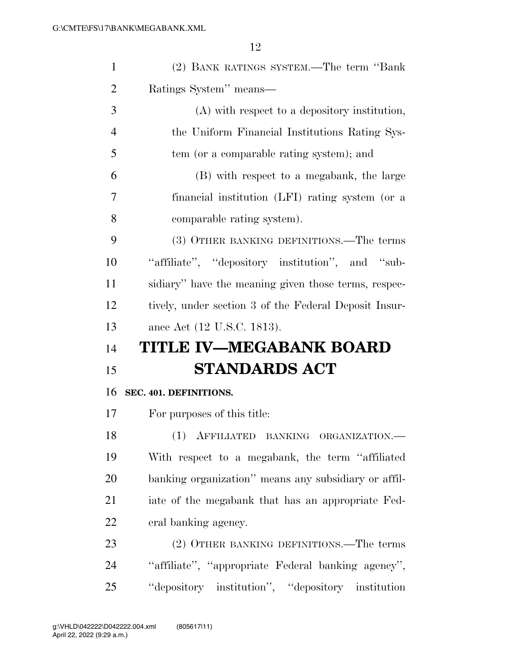| $\mathbf{1}$   | (2) BANK RATINGS SYSTEM.—The term "Bank"              |
|----------------|-------------------------------------------------------|
| $\overline{2}$ | Ratings System" means—                                |
| 3              | (A) with respect to a depository institution,         |
| $\overline{4}$ | the Uniform Financial Institutions Rating Sys-        |
| 5              | tem (or a comparable rating system); and              |
| 6              | (B) with respect to a megabank, the large             |
| 7              | financial institution (LFI) rating system (or a       |
| 8              | comparable rating system).                            |
| 9              | (3) OTHER BANKING DEFINITIONS.—The terms              |
| 10             | "affiliate", "depository institution", and "sub-      |
| 11             | sidiary" have the meaning given those terms, respec-  |
| 12             | tively, under section 3 of the Federal Deposit Insur- |
|                |                                                       |
| 13             | ance Act (12 U.S.C. 1813).                            |
| 14             | <b>TITLE IV-MEGABANK BOARD</b>                        |
| 15             | <b>STANDARDS ACT</b>                                  |
| 16             | SEC. 401. DEFINITIONS.                                |
| 17             | For purposes of this title:                           |
| 18             | (1) AFFILIATED BANKING ORGANIZATION.-                 |
| 19             | With respect to a megabank, the term "affiliated"     |
| 20             | banking organization" means any subsidiary or affil-  |
| 21             | iate of the megabank that has an appropriate Fed-     |
| 22             | eral banking agency.                                  |
| 23             | (2) OTHER BANKING DEFINITIONS.—The terms              |
| 24             | "affiliate", "appropriate Federal banking agency",    |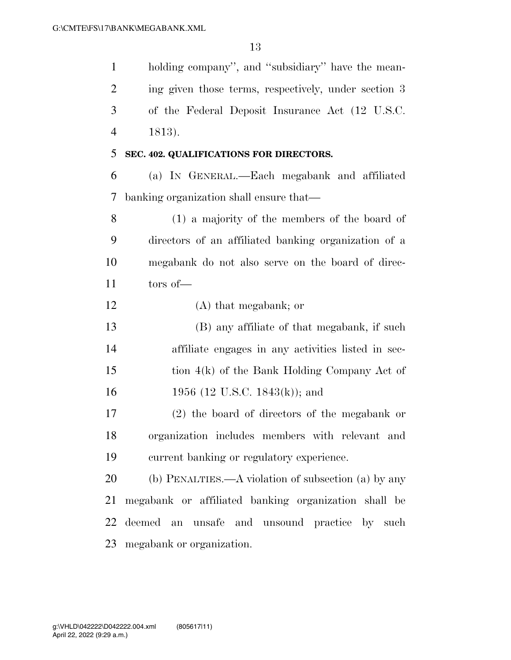| $\mathbf{1}$   | holding company", and "subsidiary" have the mean-    |
|----------------|------------------------------------------------------|
| $\overline{2}$ | ing given those terms, respectively, under section 3 |
| 3              | of the Federal Deposit Insurance Act (12 U.S.C.      |
| $\overline{4}$ | 1813).                                               |
| 5              | SEC. 402. QUALIFICATIONS FOR DIRECTORS.              |
| 6              | (a) IN GENERAL.—Each megabank and affiliated         |
| 7              | banking organization shall ensure that—              |
| 8              | $(1)$ a majority of the members of the board of      |
| 9              | directors of an affiliated banking organization of a |
| 10             | megabank do not also serve on the board of direc-    |
| 11             | tors of                                              |
| 12             | $(A)$ that megabank; or                              |
| 13             | (B) any affiliate of that megabank, if such          |
| 14             | affiliate engages in any activities listed in sec-   |
| 15             | tion $4(k)$ of the Bank Holding Company Act of       |
| 16             | 1956 (12 U.S.C. 1843(k)); and                        |
| 17             | (2) the board of directors of the megabank or        |
| 18             | organization includes members with relevant and      |
| 19             | current banking or regulatory experience.            |
| 20             | (b) PENALTIES.—A violation of subsection (a) by any  |
| 21             | megabank or affiliated banking organization shall be |
| 22             | deemed an unsafe and unsound practice by such        |
| 23             | megabank or organization.                            |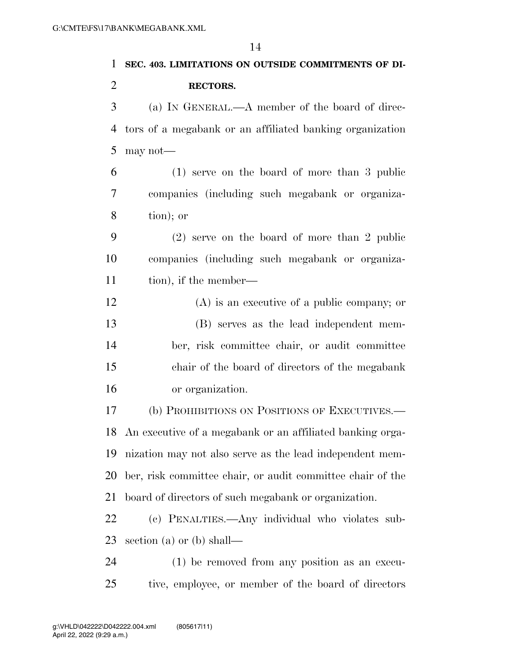| $\mathbf{1}$   | SEC. 403. LIMITATIONS ON OUTSIDE COMMITMENTS OF DI-          |
|----------------|--------------------------------------------------------------|
| $\overline{2}$ | RECTORS.                                                     |
| 3              | (a) IN GENERAL.—A member of the board of direc-              |
| 4              | tors of a megabank or an affiliated banking organization     |
| 5              | may not-                                                     |
| 6              | $(1)$ serve on the board of more than 3 public               |
| 7              | companies (including such megabank or organiza-              |
| 8              | tion); or                                                    |
| 9              | $(2)$ serve on the board of more than 2 public               |
| 10             | companies (including such megabank or organiza-              |
| 11             | tion), if the member—                                        |
| 12             | $(A)$ is an executive of a public company; or                |
| 13             | (B) serves as the lead independent mem-                      |
| 14             | ber, risk committee chair, or audit committee                |
| 15             | chair of the board of directors of the megabank              |
| 16             | or organization.                                             |
| 17             | (b) PROHIBITIONS ON POSITIONS OF EXECUTIVES.—                |
|                | 18 An executive of a megabank or an affiliated banking orga- |
| 19             | nization may not also serve as the lead independent mem-     |
| 20             | ber, risk committee chair, or audit committee chair of the   |
| 21             | board of directors of such megabank or organization.         |
| 22             | (c) PENALTIES.—Any individual who violates sub-              |
| 23             | section (a) or (b) shall—                                    |
| 24             | (1) be removed from any position as an execu-                |
| 25             | tive, employee, or member of the board of directors          |